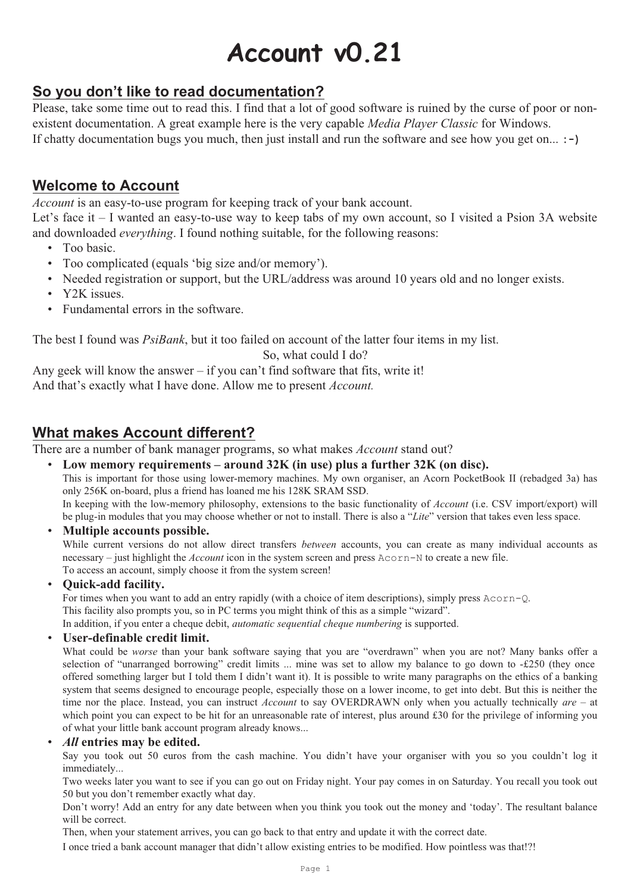# **Account v0.21**

# **So you don't like to read documentation?**

Please, take some time out to read this. I find that a lot of good software is ruined by the curse of poor or nonexistent documentation. A great example here is the very capable *Media Player Classic* for Windows. If chatty documentation bugs you much, then just install and run the software and see how you get on... **:-)**

# **Welcome to Account**

*Account* is an easy-to-use program for keeping track of your bank account.

Let's face it – I wanted an easy-to-use way to keep tabs of my own account, so I visited a Psion 3A website and downloaded *everything*. I found nothing suitable, for the following reasons:

- Too basic.
- Too complicated (equals 'big size and/or memory').
- Needed registration or support, but the URL/address was around 10 years old and no longer exists.
- Y2K issues.
- Fundamental errors in the software.

The best I found was *PsiBank*, but it too failed on account of the latter four items in my list.

#### So, what could I do?

Any geek will know the answer  $-$  if you can't find software that fits, write it! And that's exactly what I have done. Allow me to present *Account.*

# **What makes Account different?**

There are a number of bank manager programs, so what makes *Account* stand out?

- **Low memory requirements around 32K (in use) plus a further 32K (on disc).** This is important for those using lower-memory machines. My own organiser, an Acorn PocketBook II (rebadged 3a) has only 256K on-board, plus a friend has loaned me his 128K SRAM SSD. In keeping with the low-memory philosophy, extensions to the basic functionality of *Account* (i.e. CSV import/export) will be plug-in modules that you may choose whether or not to install. There is also a "*Lite*" version that takes even less space.
- **Multiple accounts possible.**

While current versions do not allow direct transfers *between* accounts, you can create as many individual accounts as necessary – just highlight the *Account* icon in the system screen and press Acorn-N to create a new file. To access an account, simply choose it from the system screen!

• **Quick-add facility.**

For times when you want to add an entry rapidly (with a choice of item descriptions), simply press Acorn-Q.

This facility also prompts you, so in PC terms you might think of this as a simple "wizard".

In addition, if you enter a cheque debit, *automatic sequential cheque numbering* is supported.

#### • **User-definable credit limit.**

What could be *worse* than your bank software saying that you are "overdrawn" when you are not? Many banks offer a selection of "unarranged borrowing" credit limits ... mine was set to allow my balance to go down to -£250 (they once offered something larger but I told them I didn't want it). It is possible to write many paragraphs on the ethics of a banking system that seems designed to encourage people, especially those on a lower income, to get into debt. But this is neither the time nor the place. Instead, you can instruct *Account* to say OVERDRAWN only when you actually technically *are* – at which point you can expect to be hit for an unreasonable rate of interest, plus around £30 for the privilege of informing you of what your little bank account program already knows...

#### • *All* **entries may be edited.**

Say you took out 50 euros from the cash machine. You didn't have your organiser with you so you couldn't log it immediately...

Two weeks later you want to see if you can go out on Friday night. Your pay comes in on Saturday. You recall you took out 50 but you don't remember exactly what day.

Don't worry! Add an entry for any date between when you think you took out the money and 'today'. The resultant balance will be correct.

Then, when your statement arrives, you can go back to that entry and update it with the correct date.

I once tried a bank account manager that didn't allow existing entries to be modified. How pointless was that!?!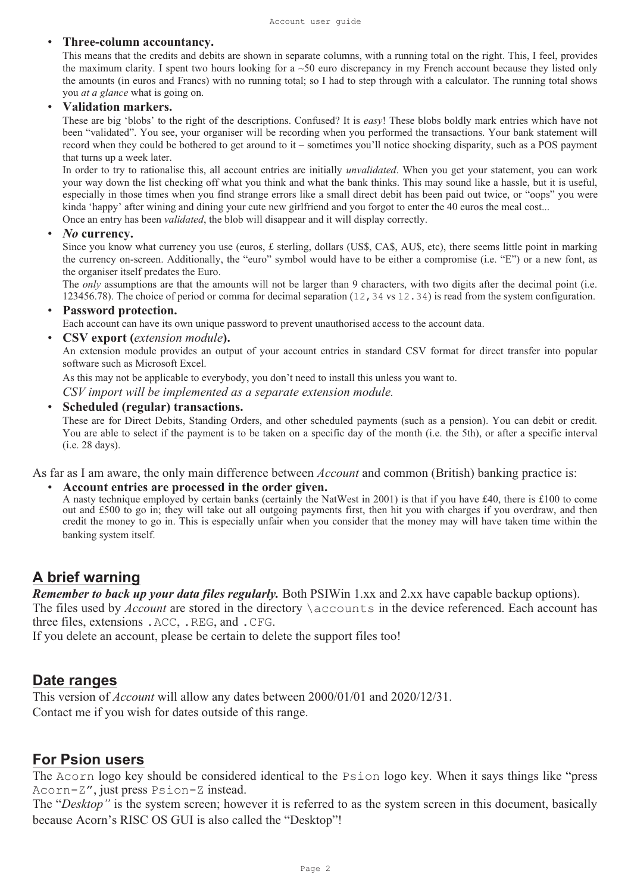#### • **Three-column accountancy.**

This means that the credits and debits are shown in separate columns, with a running total on the right. This, I feel, provides the maximum clarity. I spent two hours looking for a  $\sim$ 50 euro discrepancy in my French account because they listed only the amounts (in euros and Francs) with no running total; so I had to step through with a calculator. The running total shows you *at a glance* what is going on.

#### • **Validation markers.**

These are big 'blobs' to the right of the descriptions. Confused? It is *easy*! These blobs boldly mark entries which have not been "validated". You see, your organiser will be recording when you performed the transactions. Your bank statement will record when they could be bothered to get around to it – sometimes you'll notice shocking disparity, such as a POS payment that turns up a week later.

In order to try to rationalise this, all account entries are initially *unvalidated*. When you get your statement, you can work your way down the list checking off what you think and what the bank thinks. This may sound like a hassle, but it is useful, especially in those times when you find strange errors like a small direct debit has been paid out twice, or "oops" you were kinda 'happy' after wining and dining your cute new girlfriend and you forgot to enter the 40 euros the meal cost... Once an entry has been *validated*, the blob will disappear and it will display correctly.

#### • *No* **currency.**

Since you know what currency you use (euros,  $\pounds$  sterling, dollars (US\$, CA\$, AU\$, etc), there seems little point in marking the currency on-screen. Additionally, the "euro" symbol would have to be either a compromise (i.e. "E") or a new font, as the organiser itself predates the Euro.

The *only* assumptions are that the amounts will not be larger than 9 characters, with two digits after the decimal point (i.e. 123456.78). The choice of period or comma for decimal separation (12,34 vs 12.34) is read from the system configuration.

#### • **Password protection.**

Each account can have its own unique password to prevent unauthorised access to the account data.

• **CSV export (***extension module***).**

An extension module provides an output of your account entries in standard CSV format for direct transfer into popular software such as Microsoft Excel.

As this may not be applicable to everybody, you don't need to install this unless you want to.

*CSV import will be implemented as a separate extension module.*

#### • **Scheduled (regular) transactions.**

These are for Direct Debits, Standing Orders, and other scheduled payments (such as a pension). You can debit or credit. You are able to select if the payment is to be taken on a specific day of the month (i.e. the 5th), or after a specific interval (i.e. 28 days).

As far as I am aware, the only main difference between *Account* and common (British) banking practice is:

#### • **Account entries are processed in the order given.**

A nasty technique employed by certain banks (certainly the NatWest in 2001) is that if you have £40, there is £100 to come out and £500 to go in; they will take out all outgoing payments first, then hit you with charges if you overdraw, and then credit the money to go in. This is especially unfair when you consider that the money may will have taken time within the banking system itself.

## **A brief warning**

*Remember to back up your data files regularly.* Both PSIWin 1.xx and 2.xx have capable backup options). The files used by *Account* are stored in the directory *\accounts* in the device referenced. Each account has three files, extensions .ACC, .REG, and .CFG.

If you delete an account, please be certain to delete the support files too!

## **Date ranges**

This version of *Account* will allow any dates between 2000/01/01 and 2020/12/31. Contact me if you wish for dates outside of this range.

## **For Psion users**

The Acorn logo key should be considered identical to the Psion logo key. When it says things like "press Acorn-Z", just press Psion-Z instead.

The "*Desktop"* is the system screen; however it is referred to as the system screen in this document, basically because Acorn's RISC OS GUI is also called the "Desktop"!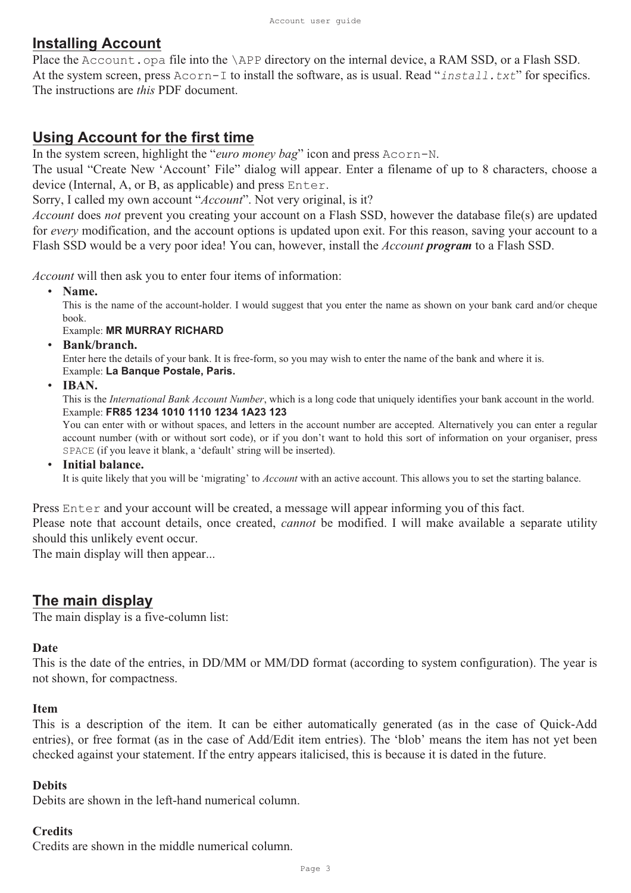# **Installing Account**

Place the Account.opa file into the \APP directory on the internal device, a RAM SSD, or a Flash SSD. At the system screen, press Acorn-I to install the software, as is usual. Read "install.txt" for specifics. The instructions are *this* PDF document.

# **Using Account for the first time**

In the system screen, highlight the "*euro money bag*" icon and press Acorn-N.

The usual "Create New 'Account' File" dialog will appear. Enter a filename of up to 8 characters, choose a device (Internal, A, or B, as applicable) and press Enter.

Sorry, I called my own account "*Account*". Not very original, is it?

*Account* does *not* prevent you creating your account on a Flash SSD, however the database file(s) are updated for *every* modification, and the account options is updated upon exit. For this reason, saving your account to a Flash SSD would be a very poor idea! You can, however, install the *Account program* to a Flash SSD.

*Account* will then ask you to enter four items of information:

• **Name.**

This is the name of the account-holder. I would suggest that you enter the name as shown on your bank card and/or cheque book.

## Example: **MR MURRAY RICHARD**

• **Bank/branch.**

Enter here the details of your bank. It is free-form, so you may wish to enter the name of the bank and where it is. Example: **La Banque Postale, Paris.**

• **IBAN.**

This is the *International Bank Account Number*, which is a long code that uniquely identifies your bank account in the world. Example: **FR85 1234 1010 1110 1234 1A23 123**

You can enter with or without spaces, and letters in the account number are accepted. Alternatively you can enter a regular account number (with or without sort code), or if you don't want to hold this sort of information on your organiser, press SPACE (if you leave it blank, a 'default' string will be inserted).

• **Initial balance.**

It is quite likely that you will be 'migrating' to *Account* with an active account. This allows you to set the starting balance.

Press Enter and your account will be created, a message will appear informing you of this fact. Please note that account details, once created, *cannot* be modified. I will make available a separate utility should this unlikely event occur.

The main display will then appear...

# **The main display**

The main display is a five-column list:

## **Date**

This is the date of the entries, in DD/MM or MM/DD format (according to system configuration). The year is not shown, for compactness.

## **Item**

This is a description of the item. It can be either automatically generated (as in the case of Quick-Add entries), or free format (as in the case of Add/Edit item entries). The 'blob' means the item has not yet been checked against your statement. If the entry appears italicised, this is because it is dated in the future.

## **Debits**

Debits are shown in the left-hand numerical column.

## **Credits**

Credits are shown in the middle numerical column.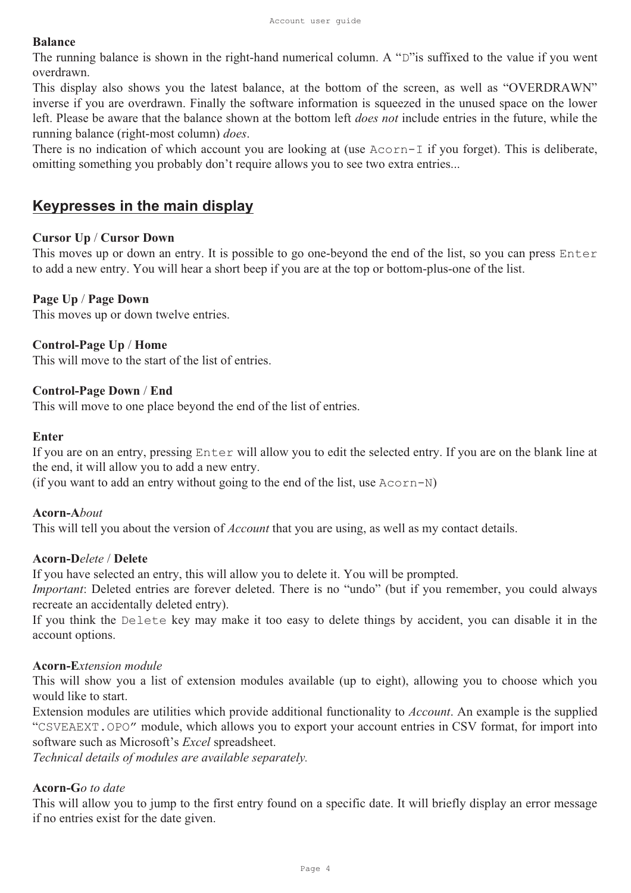#### **Balance**

The running balance is shown in the right-hand numerical column. A "D"is suffixed to the value if you went overdrawn.

This display also shows you the latest balance, at the bottom of the screen, as well as "OVERDRAWN" inverse if you are overdrawn. Finally the software information is squeezed in the unused space on the lower left. Please be aware that the balance shown at the bottom left *does not* include entries in the future, while the running balance (right-most column) *does*.

There is no indication of which account you are looking at (use Acorn-I if you forget). This is deliberate, omitting something you probably don't require allows you to see two extra entries...

# **Keypresses in the main display**

#### **Cursor Up** / **Cursor Down**

This moves up or down an entry. It is possible to go one-beyond the end of the list, so you can press Enter to add a new entry. You will hear a short beep if you are at the top or bottom-plus-one of the list.

#### **Page Up** / **Page Down**

This moves up or down twelve entries.

#### **Control-Page Up** / **Home**

This will move to the start of the list of entries.

#### **Control-Page Down** / **End**

This will move to one place beyond the end of the list of entries.

#### **Enter**

If you are on an entry, pressing Enter will allow you to edit the selected entry. If you are on the blank line at the end, it will allow you to add a new entry.

(if you want to add an entry without going to the end of the list, use  $A\text{corr-N}$ )

#### **Acorn-A***bout*

This will tell you about the version of *Account* that you are using, as well as my contact details.

#### **Acorn-D***elete* / **Delete**

If you have selected an entry, this will allow you to delete it. You will be prompted.

*Important*: Deleted entries are forever deleted. There is no "undo" (but if you remember, you could always recreate an accidentally deleted entry).

If you think the Delete key may make it too easy to delete things by accident, you can disable it in the account options.

#### **Acorn-E***xtension module*

This will show you a list of extension modules available (up to eight), allowing you to choose which you would like to start.

Extension modules are utilities which provide additional functionality to *Account*. An example is the supplied "CSVEAEXT.OPO" module, which allows you to export your account entries in CSV format, for import into software such as Microsoft's *Excel* spreadsheet.

*Technical details of modules are available separately.*

#### **Acorn-G***o to date*

This will allow you to jump to the first entry found on a specific date. It will briefly display an error message if no entries exist for the date given.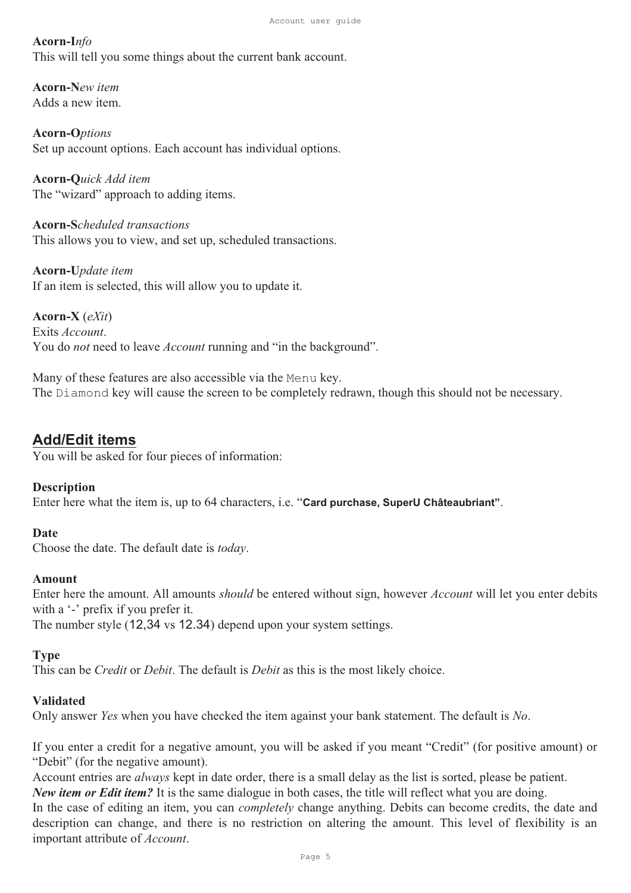#### **Acorn-I***nfo*

This will tell you some things about the current bank account.

**Acorn-N***ew item* Adds a new item.

**Acorn-O***ptions* Set up account options. Each account has individual options.

**Acorn-Q***uick Add item* The "wizard" approach to adding items.

**Acorn-S***cheduled transactions* This allows you to view, and set up, scheduled transactions.

**Acorn-U***pdate item* If an item is selected, this will allow you to update it.

**Acorn-X** (*eXit*) Exits *Account*. You do *not* need to leave *Account* running and "in the background".

Many of these features are also accessible via the Menu key. The Diamond key will cause the screen to be completely redrawn, though this should not be necessary.

## **Add/Edit items**

You will be asked for four pieces of information:

#### **Description**

Enter here what the item is, up to 64 characters, i.e. "**Card purchase, SuperU Châteaubriant"**.

#### **Date**

Choose the date. The default date is *today*.

#### **Amount**

Enter here the amount. All amounts *should* be entered without sign, however *Account* will let you enter debits with a '-' prefix if you prefer it.

The number style (12,34 vs 12.34) depend upon your system settings.

## **Type**

This can be *Credit* or *Debit*. The default is *Debit* as this is the most likely choice.

#### **Validated**

Only answer *Yes* when you have checked the item against your bank statement. The default is *No*.

If you enter a credit for a negative amount, you will be asked if you meant "Credit" (for positive amount) or "Debit" (for the negative amount).

Account entries are *always* kept in date order, there is a small delay as the list is sorted, please be patient. *New item or Edit item?* It is the same dialogue in both cases, the title will reflect what you are doing.

In the case of editing an item, you can *completely* change anything. Debits can become credits, the date and description can change, and there is no restriction on altering the amount. This level of flexibility is an important attribute of *Account*.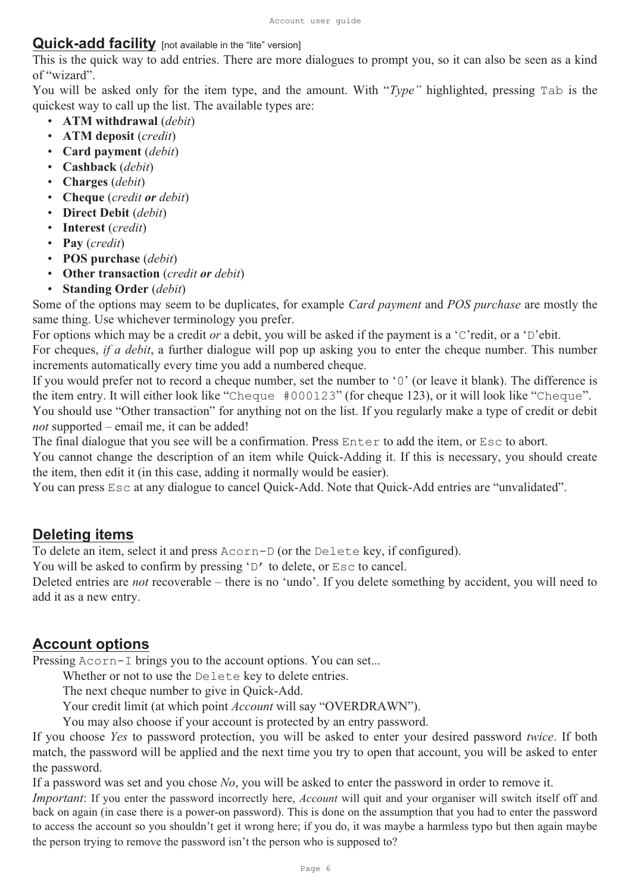## **Quick-add facility** [not available in the "lite" version]

This is the quick way to add entries. There are more dialogues to prompt you, so it can also be seen as a kind of "wizard".

You will be asked only for the item type, and the amount. With "*Type"* highlighted, pressing Tab is the quickest way to call up the list. The available types are:

- **ATM withdrawal** (*debit*)
- **ATM deposit** (*credit*)
- **Card payment** (*debit*)
- **Cashback** (*debit*)
- **Charges** (*debit*)
- **Cheque** (*credit or debit*)
- **Direct Debit** (*debit*)
- **Interest** (*credit*)
- **Pay** (*credit*)
- **POS purchase** (*debit*)
- **Other transaction** (*credit or debit*)
- **Standing Order** (*debit*)

Some of the options may seem to be duplicates, for example *Card payment* and *POS purchase* are mostly the same thing. Use whichever terminology you prefer.

For options which may be a credit *or* a debit, you will be asked if the payment is a 'C'redit, or a 'D'ebit.

For cheques, *if a debit*, a further dialogue will pop up asking you to enter the cheque number. This number increments automatically every time you add a numbered cheque.

If you would prefer not to record a cheque number, set the number to '0' (or leave it blank). The difference is the item entry. It will either look like "Cheque #000123" (for cheque 123), or it will look like "Cheque". You should use "Other transaction" for anything not on the list. If you regularly make a type of credit or debit *not* supported – email me, it can be added!

The final dialogue that you see will be a confirmation. Press Enter to add the item, or Esc to abort.

You cannot change the description of an item while Quick-Adding it. If this is necessary, you should create the item, then edit it (in this case, adding it normally would be easier).

You can press  $\text{Esc}$  at any dialogue to cancel Quick-Add. Note that Quick-Add entries are "unvalidated".

# **Deleting items**

To delete an item, select it and press Acorn-D (or the Delete key, if configured).

You will be asked to confirm by pressing 'D' to delete, or  $\text{Esc}$  to cancel.

Deleted entries are *not* recoverable – there is no 'undo'. If you delete something by accident, you will need to add it as a new entry.

# **Account options**

Pressing Acorn-I brings you to the account options. You can set...

Whether or not to use the Delete key to delete entries.

The next cheque number to give in Quick-Add.

Your credit limit (at which point *Account* will say "OVERDRAWN").

You may also choose if your account is protected by an entry password.

If you choose *Yes* to password protection, you will be asked to enter your desired password *twice*. If both match, the password will be applied and the next time you try to open that account, you will be asked to enter the password.

If a password was set and you chose *No*, you will be asked to enter the password in order to remove it.

*Important*: If you enter the password incorrectly here, *Account* will quit and your organiser will switch itself off and back on again (in case there is a power-on password). This is done on the assumption that you had to enter the password to access the account so you shouldn't get it wrong here; if you do, it was maybe a harmless typo but then again maybe the person trying to remove the password isn't the person who is supposed to?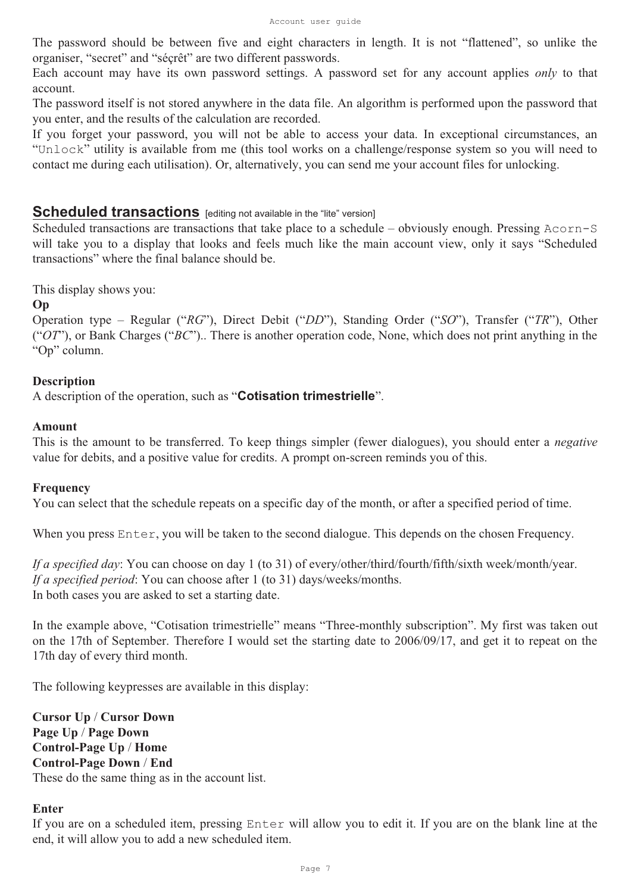The password should be between five and eight characters in length. It is not "flattened", so unlike the organiser, "secret" and "séçrêt" are two different passwords.

Each account may have its own password settings. A password set for any account applies *only* to that account.

The password itself is not stored anywhere in the data file. An algorithm is performed upon the password that you enter, and the results of the calculation are recorded.

If you forget your password, you will not be able to access your data. In exceptional circumstances, an "Unlock" utility is available from me (this tool works on a challenge/response system so you will need to contact me during each utilisation). Or, alternatively, you can send me your account files for unlocking.

## **Scheduled transactions** [editing not available in the "lite" version]

Scheduled transactions are transactions that take place to a schedule – obviously enough. Pressing Acorn-S will take you to a display that looks and feels much like the main account view, only it says "Scheduled transactions" where the final balance should be.

This display shows you:

#### **Op**

Operation type – Regular ("*RG*"), Direct Debit ("*DD*"), Standing Order ("*SO*"), Transfer ("*TR*"), Other ("*OT*"), or Bank Charges ("*BC*").. There is another operation code, None, which does not print anything in the "Op" column.

#### **Description**

A description of the operation, such as "**Cotisation trimestrielle**".

#### **Amount**

This is the amount to be transferred. To keep things simpler (fewer dialogues), you should enter a *negative* value for debits, and a positive value for credits. A prompt on-screen reminds you of this.

#### **Frequency**

You can select that the schedule repeats on a specific day of the month, or after a specified period of time.

When you press Enter, you will be taken to the second dialogue. This depends on the chosen Frequency.

*If a specified day*: You can choose on day 1 (to 31) of every/other/third/fourth/fifth/sixth week/month/year. *If a specified period*: You can choose after 1 (to 31) days/weeks/months. In both cases you are asked to set a starting date.

In the example above, "Cotisation trimestrielle" means "Three-monthly subscription". My first was taken out on the 17th of September. Therefore I would set the starting date to 2006/09/17, and get it to repeat on the 17th day of every third month.

The following keypresses are available in this display:

**Cursor Up** / **Cursor Down Page Up** / **Page Down Control-Page Up** / **Home Control-Page Down** / **End** These do the same thing as in the account list.

#### **Enter**

If you are on a scheduled item, pressing Enter will allow you to edit it. If you are on the blank line at the end, it will allow you to add a new scheduled item.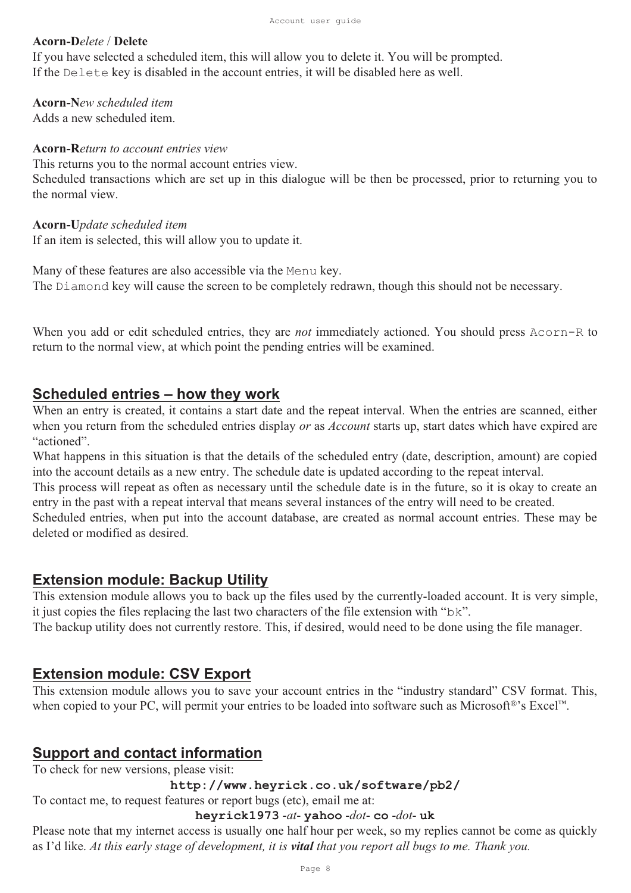#### **Acorn-D***elete* / **Delete**

If you have selected a scheduled item, this will allow you to delete it. You will be prompted. If the Delete key is disabled in the account entries, it will be disabled here as well.

**Acorn-N***ew scheduled item* Adds a new scheduled item.

**Acorn-R***eturn to account entries view* This returns you to the normal account entries view. Scheduled transactions which are set up in this dialogue will be then be processed, prior to returning you to the normal view.

**Acorn-U***pdate scheduled item*

If an item is selected, this will allow you to update it.

Many of these features are also accessible via the Menu key. The Diamond key will cause the screen to be completely redrawn, though this should not be necessary.

When you add or edit scheduled entries, they are *not* immediately actioned. You should press Acorn-R to return to the normal view, at which point the pending entries will be examined.

## **Scheduled entries – how they work**

When an entry is created, it contains a start date and the repeat interval. When the entries are scanned, either when you return from the scheduled entries display *or* as *Account* starts up, start dates which have expired are "actioned".

What happens in this situation is that the details of the scheduled entry (date, description, amount) are copied into the account details as a new entry. The schedule date is updated according to the repeat interval.

This process will repeat as often as necessary until the schedule date is in the future, so it is okay to create an entry in the past with a repeat interval that means several instances of the entry will need to be created.

Scheduled entries, when put into the account database, are created as normal account entries. These may be deleted or modified as desired.

## **Extension module: Backup Utility**

This extension module allows you to back up the files used by the currently-loaded account. It is very simple, it just copies the files replacing the last two characters of the file extension with "bk".

The backup utility does not currently restore. This, if desired, would need to be done using the file manager.

# **Extension module: CSV Export**

This extension module allows you to save your account entries in the "industry standard" CSV format. This, when copied to your PC, will permit your entries to be loaded into software such as Microsoft®'s Excel™.

# **Support and contact information**

To check for new versions, please visit:

#### **http://www.heyrick.co.uk/software/pb2/**

To contact me, to request features or report bugs (etc), email me at:

**heyrick1973** -*at*- **yahoo** -*dot*- **co** -*dot*- **uk**

Please note that my internet access is usually one half hour per week, so my replies cannot be come as quickly as I'd like. *At this early stage of development, it is vital that you report all bugs to me. Thank you.*